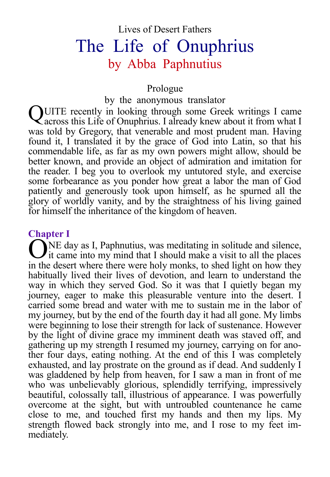# Lives of Desert Fathers The Life of Onuphrius by Abba Paphnutius

#### Prologue

by the anonymous translator

QUITE recently in looking through some Greek writings I came<br>Qacross this Life of Onuphrius. I already knew about it from what I across this Life of Onuphrius. I already knew about it from what I was told by Gregory, that venerable and most prudent man. Having found it, I translated it by the grace of God into Latin, so that his commendable life, as far as my own powers might allow, should be better known, and provide an object of admiration and imitation for the reader. I beg you to overlook my untutored style, and exercise some forbearance as you ponder how great a labor the man of God patiently and generously took upon himself, as he spurned all the glory of worldly vanity, and by the straightness of his living gained for himself the inheritance of the kingdom of heaven.

### **Chapter I**

NE day as I, Paphnutius, was meditating in solitude and silence, The day as I, Paphnutius, was meditating in solitude and silence,<br>
it came into my mind that I should make a visit to all the places in the desert where there were holy monks, to shed light on how they habitually lived their lives of devotion, and learn to understand the way in which they served God. So it was that I quietly began my journey, eager to make this pleasurable venture into the desert. I carried some bread and water with me to sustain me in the labor of my journey, but by the end of the fourth day it had all gone. My limbs were beginning to lose their strength for lack of sustenance. However by the light of divine grace my imminent death was staved off, and gathering up my strength I resumed my journey, carrying on for another four days, eating nothing. At the end of this I was completely exhausted, and lay prostrate on the ground as if dead. And suddenly I was gladdened by help from heaven, for I saw a man in front of me who was unbelievably glorious, splendidly terrifying, impressively beautiful, colossally tall, illustrious of appearance. I was powerfully overcome at the sight, but with untroubled countenance he came close to me, and touched first my hands and then my lips. My strength flowed back strongly into me, and I rose to my feet immediately.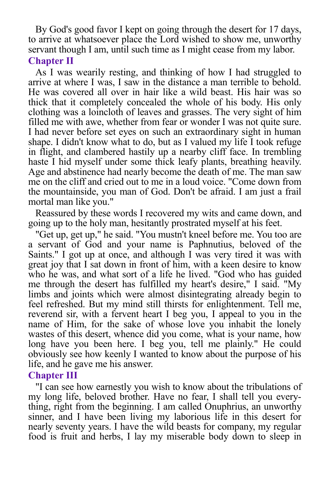By God's good favor I kept on going through the desert for 17 days, to arrive at whatsoever place the Lord wished to show me, unworthy servant though I am, until such time as I might cease from my labor.

# **Chapter II**

As I was wearily resting, and thinking of how I had struggled to arrive at where I was, I saw in the distance a man terrible to behold. He was covered all over in hair like a wild beast. His hair was so thick that it completely concealed the whole of his body. His only clothing was a loincloth of leaves and grasses. The very sight of him filled me with awe, whether from fear or wonder I was not quite sure. I had never before set eyes on such an extraordinary sight in human shape. I didn't know what to do, but as I valued my life I took refuge in flight, and clambered hastily up a nearby cliff face. In trembling haste I hid myself under some thick leafy plants, breathing heavily. Age and abstinence had nearly become the death of me. The man saw me on the cliff and cried out to me in a loud voice. "Come down from the mountainside, you man of God. Don't be afraid. I am just a frail mortal man like you."

Reassured by these words I recovered my wits and came down, and going up to the holy man, hesitantly prostrated myself at his feet.

"Get up, get up," he said. "You mustn't kneel before me. You too are a servant of God and your name is Paphnutius, beloved of the Saints." I got up at once, and although I was very tired it was with great joy that I sat down in front of him, with a keen desire to know who he was, and what sort of a life he lived. "God who has guided me through the desert has fulfilled my heart's desire," I said. "My limbs and joints which were almost disintegrating already begin to feel refreshed. But my mind still thirsts for enlightenment. Tell me, reverend sir, with a fervent heart I beg you, I appeal to you in the name of Him, for the sake of whose love you inhabit the lonely wastes of this desert, whence did you come, what is your name, how long have you been here. I beg you, tell me plainly." He could obviously see how keenly I wanted to know about the purpose of his life, and he gave me his answer.

# **Chapter III**

"I can see how earnestly you wish to know about the tribulations of my long life, beloved brother. Have no fear, I shall tell you everything, right from the beginning. I am called Onuphrius, an unworthy sinner, and I have been living my laborious life in this desert for nearly seventy years. I have the wild beasts for company, my regular food is fruit and herbs, I lay my miserable body down to sleep in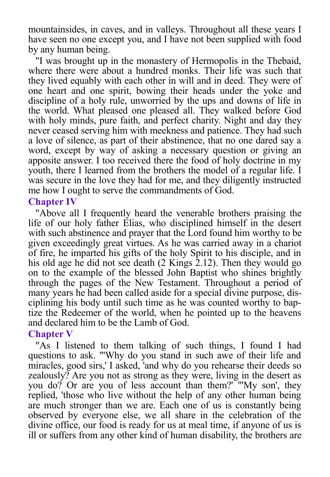mountainsides, in caves, and in valleys. Throughout all these years I have seen no one except you, and I have not been supplied with food by any human being.

"I was brought up in the monastery of Hermopolis in the Thebaid, where there were about a hundred monks. Their life was such that they lived equably with each other in will and in deed. They were of one heart and one spirit, bowing their heads under the yoke and discipline of a holy rule, unworried by the ups and downs of life in the world. What pleased one pleased all. They walked before God with holy minds, pure faith, and perfect charity. Night and day they never ceased serving him with meekness and patience. They had such a love of silence, as part of their abstinence, that no one dared say a word, except by way of asking a necessary question or giving an apposite answer. I too received there the food of holy doctrine in my youth, there I learned from the brothers the model of a regular life. I was secure in the love they had for me, and they diligently instructed me how I ought to serve the commandments of God.

#### **Chapter IV**

"Above all I frequently heard the venerable brothers praising the life of our holy father Elias, who disciplined himself in the desert with such abstinence and prayer that the Lord found him worthy to be given exceedingly great virtues. As he was carried away in a chariot of fire, he imparted his gifts of the holy Spirit to his disciple, and in his old age he did not see death (2 Kings 2.12). Then they would go on to the example of the blessed John Baptist who shines brightly through the pages of the New Testament. Throughout a period of many years he had been called aside for a special divine purpose, disciplining his body until such time as he was counted worthy to baptize the Redeemer of the world, when he pointed up to the heavens and declared him to be the Lamb of God.

#### **Chapter V**

"As I listened to them talking of such things, I found I had questions to ask. "'Why do you stand in such awe of their life and miracles, good sirs,' I asked, 'and why do you rehearse their deeds so zealously? Are you not as strong as they were, living in the desert as you do? Or are you of less account than them?' "'My son', they replied, 'those who live without the help of any other human being are much stronger than we are. Each one of us is constantly being observed by everyone else, we all share in the celebration of the divine office, our food is ready for us at meal time, if anyone of us is ill or suffers from any other kind of human disability, the brothers are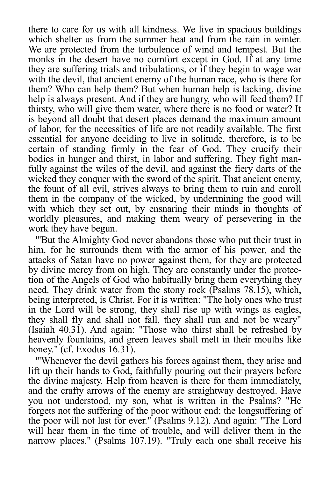there to care for us with all kindness. We live in spacious buildings which shelter us from the summer heat and from the rain in winter. We are protected from the turbulence of wind and tempest. But the monks in the desert have no comfort except in God. If at any time they are suffering trials and tribulations, or if they begin to wage war with the devil, that ancient enemy of the human race, who is there for them? Who can help them? But when human help is lacking, divine help is always present. And if they are hungry, who will feed them? If thirsty, who will give them water, where there is no food or water? It is beyond all doubt that desert places demand the maximum amount of labor, for the necessities of life are not readily available. The first essential for anyone deciding to live in solitude, therefore, is to be certain of standing firmly in the fear of God. They crucify their bodies in hunger and thirst, in labor and suffering. They fight manfully against the wiles of the devil, and against the fiery darts of the wicked they conquer with the sword of the spirit. That ancient enemy, the fount of all evil, strives always to bring them to ruin and enroll them in the company of the wicked, by undermining the good will with which they set out, by ensnaring their minds in thoughts of worldly pleasures, and making them weary of persevering in the work they have begun.

"'But the Almighty God never abandons those who put their trust in him, for he surrounds them with the armor of his power, and the attacks of Satan have no power against them, for they are protected by divine mercy from on high. They are constantly under the protection of the Angels of God who habitually bring them everything they need. They drink water from the stony rock (Psalms 78.15), which, being interpreted, is Christ. For it is written: "The holy ones who trust in the Lord will be strong, they shall rise up with wings as eagles, they shall fly and shall not fall, they shall run and not be weary" (Isaiah 40.31). And again: "Those who thirst shall be refreshed by heavenly fountains, and green leaves shall melt in their mouths like honey." (cf. Exodus  $16.31$ ).

"'Whenever the devil gathers his forces against them, they arise and lift up their hands to God, faithfully pouring out their prayers before the divine majesty. Help from heaven is there for them immediately, and the crafty arrows of the enemy are straightway destroyed. Have you not understood, my son, what is written in the Psalms? "He forgets not the suffering of the poor without end; the longsuffering of the poor will not last for ever." (Psalms 9.12). And again: "The Lord will hear them in the time of trouble, and will deliver them in the narrow places." (Psalms 107.19). "Truly each one shall receive his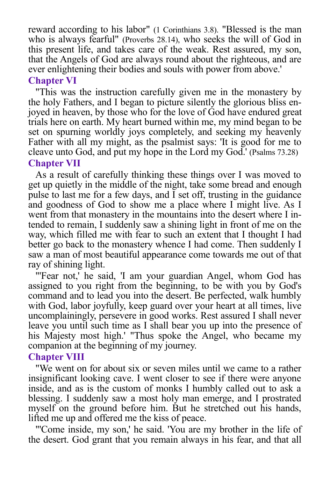reward according to his labor" (1 Corinthians 3.8). "Blessed is the man who is always fearful" (Proverbs 28.14), who seeks the will of God in this present life, and takes care of the weak. Rest assured, my son, that the Angels of God are always round about the righteous, and are ever enlightening their bodies and souls with power from above.'

# **Chapter VI**

"This was the instruction carefully given me in the monastery by the holy Fathers, and I began to picture silently the glorious bliss enjoyed in heaven, by those who for the love of God have endured great trials here on earth. My heart burned within me, my mind began to be set on spurning worldly joys completely, and seeking my heavenly Father with all my might, as the psalmist says: 'It is good for me to cleave unto God, and put my hope in the Lord my God.' (Psalms 73.28) **Chapter VII**

As a result of carefully thinking these things over I was moved to get up quietly in the middle of the night, take some bread and enough pulse to last me for a few days, and  $\overline{I}$  set off, trusting in the guidance and goodness of God to show me a place where I might live. As I went from that monastery in the mountains into the desert where I intended to remain, I suddenly saw a shining light in front of me on the way, which filled me with fear to such an extent that I thought I had better go back to the monastery whence I had come. Then suddenly I saw a man of most beautiful appearance come towards me out of that ray of shining light.

"'Fear not,' he said, 'I am your guardian Angel, whom God has assigned to you right from the beginning, to be with you by God's command and to lead you into the desert. Be perfected, walk humbly with God, labor joyfully, keep guard over your heart at all times, live uncomplainingly, persevere in good works. Rest assured I shall never leave you until such time as I shall bear you up into the presence of his Majesty most high.' "Thus spoke the Angel, who became my companion at the beginning of my journey.

# **Chapter VIII**

"We went on for about six or seven miles until we came to a rather insignificant looking cave. I went closer to see if there were anyone inside, and as is the custom of monks I humbly called out to ask a blessing. I suddenly saw a most holy man emerge, and I prostrated myself on the ground before him. But he stretched out his hands, lifted me up and offered me the kiss of peace.

"'Come inside, my son,' he said. 'You are my brother in the life of the desert. God grant that you remain always in his fear, and that all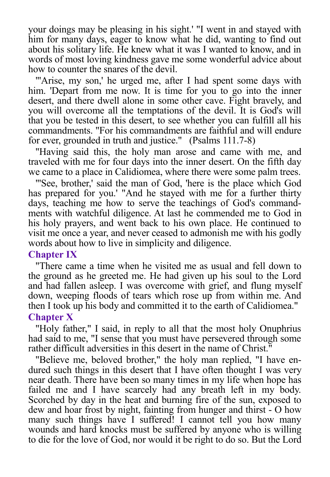your doings may be pleasing in his sight.' "I went in and stayed with him for many days, eager to know what he did, wanting to find out about his solitary life. He knew what it was I wanted to know, and in words of most loving kindness gave me some wonderful advice about how to counter the snares of the devil.

"'Arise, my son,' he urged me, after I had spent some days with him. 'Depart from me now. It is time for you to go into the inner desert, and there dwell alone in some other cave. Fight bravely, and you will overcome all the temptations of the devil. It is God's will that you be tested in this desert, to see whether you can fulfill all his commandments. "For his commandments are faithful and will endure for ever, grounded in truth and justice." (Psalms 111.7-8)

"Having said this, the holy man arose and came with me, and traveled with me for four days into the inner desert. On the fifth day we came to a place in Calidiomea, where there were some palm trees.

"'See, brother,' said the man of God, 'here is the place which God has prepared for you.' "And he stayed with me for a further thirty days, teaching me how to serve the teachings of God's commandments with watchful diligence. At last he commended me to God in his holy prayers, and went back to his own place. He continued to visit me once a year, and never ceased to admonish me with his godly words about how to live in simplicity and diligence.

# **Chapter IX**

"There came a time when he visited me as usual and fell down to the ground as he greeted me. He had given up his soul to the Lord and had fallen asleep. I was overcome with grief, and flung myself down, weeping floods of tears which rose up from within me. And then I took up his body and committed it to the earth of Calidiomea." **Chapter X**

"Holy father," I said, in reply to all that the most holy Onuphrius had said to me, "I sense that you must have persevered through some rather difficult adversities in this desert in the name of Christ."

"Believe me, beloved brother," the holy man replied, "I have endured such things in this desert that I have often thought I was very near death. There have been so many times in my life when hope has failed me and I have scarcely had any breath left in my body. Scorched by day in the heat and burning fire of the sun, exposed to dew and hoar frost by night, fainting from hunger and thirst - O how many such things have I suffered! I cannot tell you how many wounds and hard knocks must be suffered by anyone who is willing to die for the love of God, nor would it be right to do so. But the Lord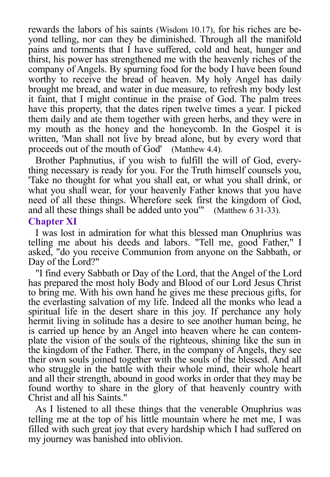rewards the labors of his saints (Wisdom 10.17), for his riches are beyond telling, nor can they be diminished. Through all the manifold pains and torments that I have suffered, cold and heat, hunger and thirst, his power has strengthened me with the heavenly riches of the company of Angels. By spurning food for the body I have been found worthy to receive the bread of heaven. My holy Angel has daily brought me bread, and water in due measure, to refresh my body lest it faint, that I might continue in the praise of God. The palm trees have this property, that the dates ripen twelve times a year. I picked them daily and ate them together with green herbs, and they were in my mouth as the honey and the honeycomb. In the Gospel it is written, 'Man shall not live by bread alone, but by every word that proceeds out of the mouth of God' (Matthew 4.4).

Brother Paphnutius, if you wish to fulfill the will of God, everything necessary is ready for you. For the Truth himself counsels you, 'Take no thought for what you shall eat, or what you shall drink, or what you shall wear, for your heavenly Father knows that you have need of all these things. Wherefore seek first the kingdom of God, and all these things shall be added unto you'" (Matthew 6 31-33). **Chapter XI** 

I was lost in admiration for what this blessed man Onuphrius was telling me about his deeds and labors. "Tell me, good Father," I asked, "do you receive Communion from anyone on the Sabbath, or Day of the Lord?"

"I find every Sabbath or Day of the Lord, that the Angel of the Lord has prepared the most holy Body and Blood of our Lord Jesus Christ to bring me. With his own hand he gives me these precious gifts, for the everlasting salvation of my life. Indeed all the monks who lead a spiritual life in the desert share in this joy. If perchance any holy hermit living in solitude has a desire to see another human being, he is carried up hence by an Angel into heaven where he can contemplate the vision of the souls of the righteous, shining like the sun in the kingdom of the Father. There, in the company of Angels, they see their own souls joined together with the souls of the blessed. And all who struggle in the battle with their whole mind, their whole heart and all their strength, abound in good works in order that they may be found worthy to share in the glory of that heavenly country with Christ and all his Saints."

As I listened to all these things that the venerable Onuphrius was telling me at the top of his little mountain where he met me, I was filled with such great joy that every hardship which I had suffered on my journey was banished into oblivion.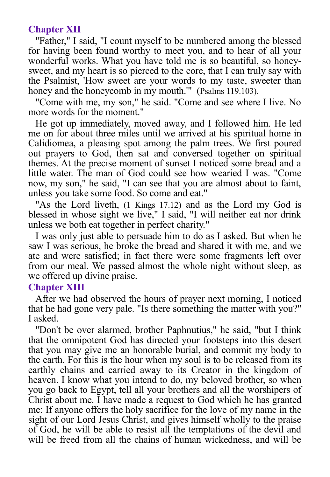# **Chapter XII**

"Father," I said, "I count myself to be numbered among the blessed for having been found worthy to meet you, and to hear of all your wonderful works. What you have told me is so beautiful, so honeysweet, and my heart is so pierced to the core, that I can truly say with the Psalmist, 'How sweet are your words to my taste, sweeter than honey and the honeycomb in my mouth." (Psalms 119.103).

"Come with me, my son," he said. "Come and see where I live. No more words for the moment."

He got up immediately, moved away, and I followed him. He led me on for about three miles until we arrived at his spiritual home in Calidiomea, a pleasing spot among the palm trees. We first poured out prayers to God, then sat and conversed together on spiritual themes. At the precise moment of sunset I noticed some bread and a little water. The man of God could see how wearied I was. "Come now, my son," he said, "I can see that you are almost about to faint, unless you take some food. So come and eat."

"As the Lord liveth, (1 Kings 17.12) and as the Lord my God is blessed in whose sight we live," I said, "I will neither eat nor drink unless we both eat together in perfect charity."

I was only just able to persuade him to do as I asked. But when he saw I was serious, he broke the bread and shared it with me, and we ate and were satisfied; in fact there were some fragments left over from our meal. We passed almost the whole night without sleep, as we offered up divine praise.

# **Chapter XIII**

After we had observed the hours of prayer next morning, I noticed that he had gone very pale. "Is there something the matter with you?" I asked.

"Don't be over alarmed, brother Paphnutius," he said, "but I think that the omnipotent God has directed your footsteps into this desert that you may give me an honorable burial, and commit my body to the earth. For this is the hour when my soul is to be released from its earthly chains and carried away to its Creator in the kingdom of heaven. I know what you intend to do, my beloved brother, so when you go back to Egypt, tell all your brothers and all the worshipers of Christ about me. I have made a request to God which he has granted me: If anyone offers the holy sacrifice for the love of my name in the sight of our Lord Jesus Christ, and gives himself wholly to the praise of God, he will be able to resist all the temptations of the devil and will be freed from all the chains of human wickedness, and will be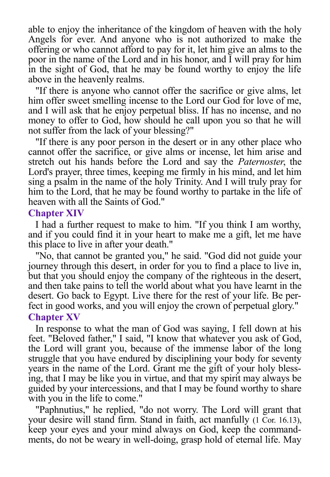able to enjoy the inheritance of the kingdom of heaven with the holy Angels for ever. And anyone who is not authorized to make the offering or who cannot afford to pay for it, let him give an alms to the poor in the name of the Lord and in his honor, and I will pray for him in the sight of God, that he may be found worthy to enjoy the life above in the heavenly realms.

"If there is anyone who cannot offer the sacrifice or give alms, let him offer sweet smelling incense to the Lord our God for love of me, and I will ask that he enjoy perpetual bliss. If has no incense, and no money to offer to God, how should he call upon you so that he will not suffer from the lack of your blessing?"

"If there is any poor person in the desert or in any other place who cannot offer the sacrifice, or give alms or incense, let him arise and stretch out his hands before the Lord and say the *Paternoster*, the Lord's prayer, three times, keeping me firmly in his mind, and let him sing a psalm in the name of the holy Trinity. And I will truly pray for him to the Lord, that he may be found worthy to partake in the life of heaven with all the Saints of God."

#### **Chapter XIV**

I had a further request to make to him. "If you think I am worthy, and if you could find it in your heart to make me a gift, let me have this place to live in after your death."

"No, that cannot be granted you," he said. "God did not guide your journey through this desert, in order for you to find a place to live in, but that you should enjoy the company of the righteous in the desert, and then take pains to tell the world about what you have learnt in the desert. Go back to Egypt. Live there for the rest of your life. Be perfect in good works, and you will enjoy the crown of perpetual glory." **Chapter XV**

In response to what the man of God was saying, I fell down at his feet. "Beloved father," I said, "I know that whatever you ask of God, the Lord will grant you, because of the immense labor of the long struggle that you have endured by disciplining your body for seventy years in the name of the Lord. Grant me the gift of your holy blessing, that I may be like you in virtue, and that my spirit may always be guided by your intercessions, and that I may be found worthy to share with you in the life to come."

"Paphnutius," he replied, "do not worry. The Lord will grant that your desire will stand firm. Stand in faith, act manfully (1 Cor. 16.13), keep your eyes and your mind always on God, keep the commandments, do not be weary in well-doing, grasp hold of eternal life. May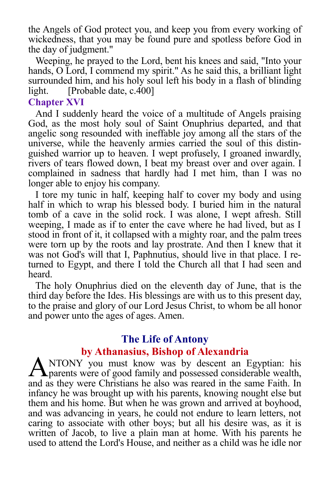the Angels of God protect you, and keep you from every working of wickedness, that you may be found pure and spotless before God in the day of judgment."

Weeping, he prayed to the Lord, bent his knees and said, "Into your hands, O Lord, I commend my spirit." As he said this, a brilliant light surrounded him, and his holy soul left his body in a flash of blinding light. [Probable date, c.400]

# **Chapter XVI**

And I suddenly heard the voice of a multitude of Angels praising God, as the most holy soul of Saint Onuphrius departed, and that angelic song resounded with ineffable joy among all the stars of the universe, while the heavenly armies carried the soul of this distinguished warrior up to heaven. I wept profusely, I groaned inwardly, rivers of tears flowed down, I beat my breast over and over again. I complained in sadness that hardly had I met him, than I was no longer able to enjoy his company.

I tore my tunic in half, keeping half to cover my body and using half in which to wrap his blessed body. I buried him in the natural tomb of a cave in the solid rock. I was alone, I wept afresh. Still weeping, I made as if to enter the cave where he had lived, but as I stood in front of it, it collapsed with a mighty roar, and the palm trees were torn up by the roots and lay prostrate. And then I knew that it was not God's will that I, Paphnutius, should live in that place. I returned to Egypt, and there I told the Church all that I had seen and heard.

The holy Onuphrius died on the eleventh day of June, that is the third day before the Ides. His blessings are with us to this present day, to the praise and glory of our Lord Jesus Christ, to whom be all honor and power unto the ages of ages. Amen.

# **The Life of Antony by Athanasius, Bishop of Alexandria**

NTONY you must know was by descent an Egyptian: his ANTONY you must know was by descent an Egyptian: his<br>
parents were of good family and possessed considerable wealth, and as they were Christians he also was reared in the same Faith. In infancy he was brought up with his parents, knowing nought else but them and his home. But when he was grown and arrived at boyhood, and was advancing in years, he could not endure to learn letters, not caring to associate with other boys; but all his desire was, as it is written of Jacob, to live a plain man at home. With his parents he used to attend the Lord's House, and neither as a child was he idle nor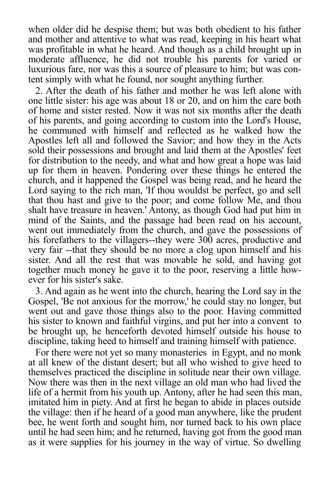when older did he despise them; but was both obedient to his father and mother and attentive to what was read, keeping in his heart what was profitable in what he heard. And though as a child brought up in moderate affluence, he did not trouble his parents for varied or luxurious fare, nor was this a source of pleasure to him; but was content simply with what he found, nor sought anything further.

2. After the death of his father and mother he was left alone with one little sister: his age was about 18 or 20, and on him the care both of home and sister rested. Now it was not six months after the death of his parents, and going according to custom into the Lord's House, he communed with himself and reflected as he walked how the Apostles left all and followed the Savior; and how they in the Acts sold their possessions and brought and laid them at the Apostles' feet for distribution to the needy, and what and how great a hope was laid up for them in heaven. Pondering over these things he entered the church, and it happened the Gospel was being read, and he heard the Lord saying to the rich man, 'If thou wouldst be perfect, go and sell that thou hast and give to the poor; and come follow Me, and thou shalt have treasure in heaven.' Antony, as though God had put him in mind of the Saints, and the passage had been read on his account, went out immediately from the church, and gave the possessions of his forefathers to the villagers--they were 300 acres, productive and very fair --that they should be no more a clog upon himself and his sister. And all the rest that was movable he sold, and having got together much money he gave it to the poor, reserving a little however for his sister's sake.

3. And again as he went into the church, hearing the Lord say in the Gospel. 'Be not anxious for the morrow,' he could stay no longer, but went out and gave those things also to the poor. Having committed his sister to known and faithful virgins, and put her into a convent to be brought up, he henceforth devoted himself outside his house to discipline, taking heed to himself and training himself with patience.

For there were not yet so many monasteries in Egypt, and no monk at all knew of the distant desert; but all who wished to give heed to themselves practiced the discipline in solitude near their own village. Now there was then in the next village an old man who had lived the life of a hermit from his youth up. Antony, after he had seen this man, imitated him in piety. And at first he began to abide in places outside the village: then if he heard of a good man anywhere, like the prudent bee, he went forth and sought him, nor turned back to his own place until he had seen him; and he returned, having got from the good man as it were supplies for his journey in the way of virtue. So dwelling